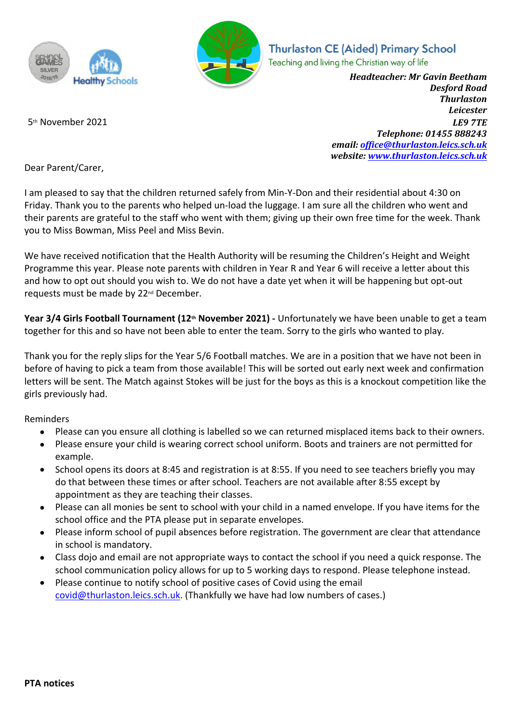



**Thurlaston CE (Aided) Primary School** Teaching and living the Christian way of life

*Headteacher: Mr Gavin Beetham Desford Road Thurlaston Leicester* 5th November 2021 *LE9 7TE Telephone: 01455 888243 email: office@thurlaston.leics.sch.uk website: www.thurlaston.leics.sch.uk*

Dear Parent/Carer,

I am pleased to say that the children returned safely from Min-Y-Don and their residential about 4:30 on Friday. Thank you to the parents who helped un-load the luggage. I am sure all the children who went and their parents are grateful to the staff who went with them; giving up their own free time for the week. Thank you to Miss Bowman, Miss Peel and Miss Bevin.

We have received notification that the Health Authority will be resuming the Children's Height and Weight Programme this year. Please note parents with children in Year R and Year 6 will receive a letter about this and how to opt out should you wish to. We do not have a date yet when it will be happening but opt-out requests must be made by 22nd December.

**Year 3/4 Girls Football Tournament (12th November 2021) -** Unfortunately we have been unable to get a team together for this and so have not been able to enter the team. Sorry to the girls who wanted to play.

Thank you for the reply slips for the Year 5/6 Football matches. We are in a position that we have not been in before of having to pick a team from those available! This will be sorted out early next week and confirmation letters will be sent. The Match against Stokes will be just for the boys as this is a knockout competition like the girls previously had.

Reminders

- Please can you ensure all clothing is labelled so we can returned misplaced items back to their owners.
- Please ensure your child is wearing correct school uniform. Boots and trainers are not permitted for example.
- School opens its doors at 8:45 and registration is at 8:55. If you need to see teachers briefly you may do that between these times or after school. Teachers are not available after 8:55 except by appointment as they are teaching their classes.
- Please can all monies be sent to school with your child in a named envelope. If you have items for the school office and the PTA please put in separate envelopes.
- Please inform school of pupil absences before registration. The government are clear that attendance in school is mandatory.
- Class dojo and email are not appropriate ways to contact the school if you need a quick response. The school communication policy allows for up to 5 working days to respond. Please telephone instead.
- Please continue to notify school of positive cases of Covid using the email covid@thurlaston.leics.sch.uk. (Thankfully we have had low numbers of cases.)